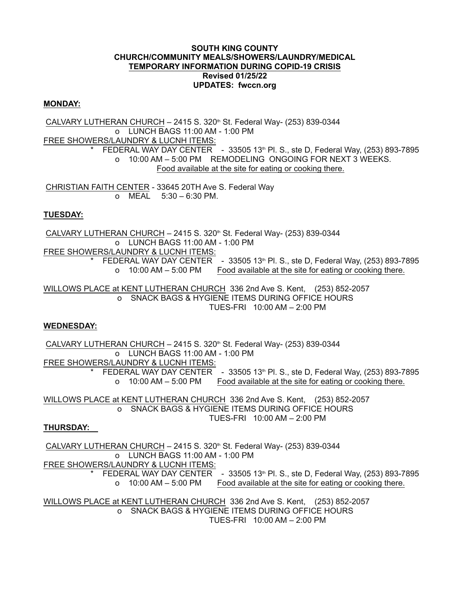#### **SOUTH KING COUNTY CHURCH/COMMUNITY MEALS/SHOWERS/LAUNDRY/MEDICAL TEMPORARY INFORMATION DURING COPID-19 CRISIS Revised 01/25/22 UPDATES: fwccn.org**

## **MONDAY:**

CALVARY LUTHERAN CHURCH  $-$  2415 S. 320<sup>th</sup> St. Federal Way- (253) 839-0344 o LUNCH BAGS 11:00 AM - 1:00 PM FREE SHOWERS/LAUNDRY & LUCNH ITEMS: FEDERAL WAY DAY CENTER - 33505 13<sup>th</sup> Pl. S., ste D, Federal Way, (253) 893-7895 o 10:00 AM – 5:00 PM REMODELING ONGOING FOR NEXT 3 WEEKS. Food available at the site for eating or cooking there.

CHRISTIAN FAITH CENTER - 33645 20TH Ave S. Federal Way o MEAL 5:30 – 6:30 PM.

## **TUESDAY:**

CALVARY LUTHERAN CHURCH  $-$  2415 S. 320<sup>th</sup> St. Federal Way- (253) 839-0344 o LUNCH BAGS 11:00 AM - 1:00 PM FREE SHOWERS/LAUNDRY & LUCNH ITEMS: \* FEDERAL WAY DAY CENTER  $-33505$  13<sup>th</sup> Pl. S., ste D, Federal Way, (253) 893-7895 o 10:00 AM – 5:00 PM Food available at the site for eating or cooking there.

WILLOWS PLACE at KENT LUTHERAN CHURCH 336 2nd Ave S. Kent, (253) 852-2057 o SNACK BAGS & HYGIENE ITEMS DURING OFFICE HOURS TUES-FRI 10:00 AM – 2:00 PM

## **WEDNESDAY:**

CALVARY LUTHERAN CHURCH  $-$  2415 S. 320<sup>th</sup> St. Federal Way- (253) 839-0344 o LUNCH BAGS 11:00 AM - 1:00 PM FREE SHOWERS/LAUNDRY & LUCNH ITEMS: FEDERAL WAY DAY CENTER - 33505 13th Pl. S., ste D, Federal Way, (253) 893-7895 o 10:00 AM – 5:00 PM Food available at the site for eating or cooking there.

WILLOWS PLACE at KENT LUTHERAN CHURCH 336 2nd Ave S. Kent, (253) 852-2057 o SNACK BAGS & HYGIENE ITEMS DURING OFFICE HOURS TUES-FRI 10:00 AM – 2:00 PM

## **THURSDAY:**

CALVARY LUTHERAN CHURCH  $-$  2415 S. 320<sup>th</sup> St. Federal Way- (253) 839-0344 o LUNCH BAGS 11:00 AM - 1:00 PM

FREE SHOWERS/LAUNDRY & LUCNH ITEMS:

FEDERAL WAY DAY CENTER - 33505 13<sup>th</sup> Pl. S., ste D, Federal Way, (253) 893-7895 o 10:00 AM – 5:00 PM Food available at the site for eating or cooking there.

WILLOWS PLACE at KENT LUTHERAN CHURCH 336 2nd Ave S. Kent, (253) 852-2057 o SNACK BAGS & HYGIENE ITEMS DURING OFFICE HOURS TUES-FRI 10:00 AM – 2:00 PM